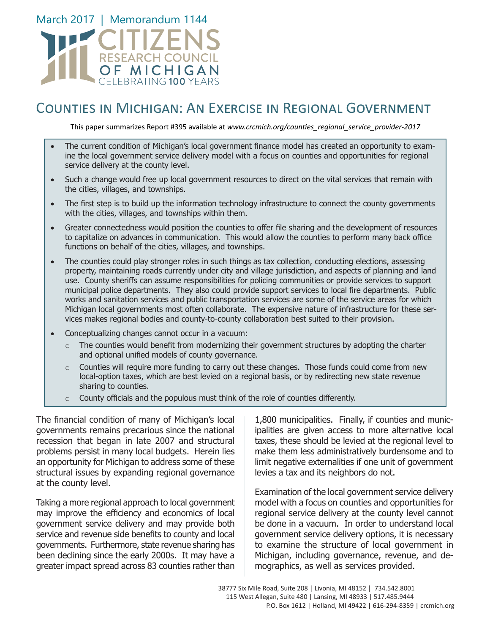

## Counties in Michigan: An Exercise in Regional Government

This paper summarizes Report #395 available at *www.crcmich.org/counties\_regional\_service\_provider-2017*

- The current condition of Michigan's local government finance model has created an opportunity to examine the local government service delivery model with a focus on counties and opportunities for regional service delivery at the county level.
- Such a change would free up local government resources to direct on the vital services that remain with the cities, villages, and townships.
- The first step is to build up the information technology infrastructure to connect the county governments with the cities, villages, and townships within them.
- Greater connectedness would position the counties to offer file sharing and the development of resources to capitalize on advances in communication. This would allow the counties to perform many back office functions on behalf of the cities, villages, and townships.
- The counties could play stronger roles in such things as tax collection, conducting elections, assessing property, maintaining roads currently under city and village jurisdiction, and aspects of planning and land use. County sheriffs can assume responsibilities for policing communities or provide services to support municipal police departments. They also could provide support services to local fire departments. Public works and sanitation services and public transportation services are some of the service areas for which Michigan local governments most often collaborate. The expensive nature of infrastructure for these services makes regional bodies and county-to-county collaboration best suited to their provision.
- Conceptualizing changes cannot occur in a vacuum:
	- $\circ$  The counties would benefit from modernizing their government structures by adopting the charter and optional unified models of county governance.
	- $\circ$  Counties will require more funding to carry out these changes. Those funds could come from new local-option taxes, which are best levied on a regional basis, or by redirecting new state revenue sharing to counties.
	- $\circ$  County officials and the populous must think of the role of counties differently.

The financial condition of many of Michigan's local governments remains precarious since the national recession that began in late 2007 and structural problems persist in many local budgets. Herein lies an opportunity for Michigan to address some of these structural issues by expanding regional governance at the county level.

Taking a more regional approach to local government may improve the efficiency and economics of local government service delivery and may provide both service and revenue side benefits to county and local governments. Furthermore, state revenue sharing has been declining since the early 2000s. It may have a greater impact spread across 83 counties rather than

1,800 municipalities. Finally, if counties and municipalities are given access to more alternative local taxes, these should be levied at the regional level to make them less administratively burdensome and to limit negative externalities if one unit of government levies a tax and its neighbors do not.

Examination of the local government service delivery model with a focus on counties and opportunities for regional service delivery at the county level cannot be done in a vacuum. In order to understand local government service delivery options, it is necessary to examine the structure of local government in Michigan, including governance, revenue, and demographics, as well as services provided.

38777 Six Mile Road, Suite 208 | Livonia, MI 48152 | 734.542.8001 115 West Allegan, Suite 480 | Lansing, MI 48933 | 517.485.9444 P.O. Box 1612 | Holland, MI 49422 | 616-294-8359 | crcmich.org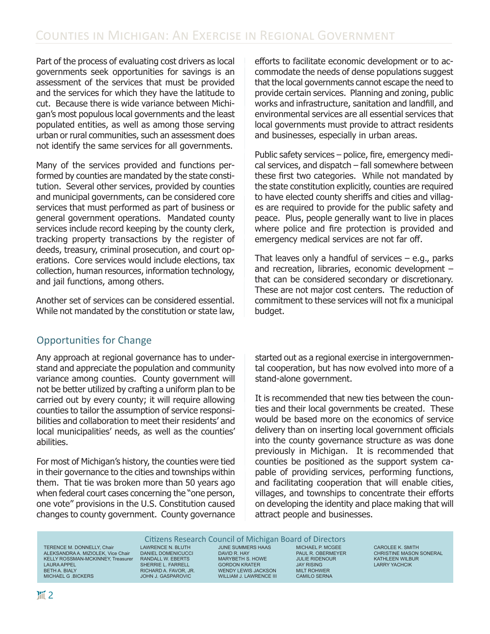Part of the process of evaluating cost drivers as local governments seek opportunities for savings is an assessment of the services that must be provided and the services for which they have the latitude to cut. Because there is wide variance between Michigan's most populous local governments and the least populated entities, as well as among those serving urban or rural communities, such an assessment does not identify the same services for all governments.

Many of the services provided and functions performed by counties are mandated by the state constitution. Several other services, provided by counties and municipal governments, can be considered core services that must performed as part of business or general government operations. Mandated county services include record keeping by the county clerk, tracking property transactions by the register of deeds, treasury, criminal prosecution, and court operations. Core services would include elections, tax collection, human resources, information technology, and jail functions, among others.

Another set of services can be considered essential. While not mandated by the constitution or state law,

## Opportunities for Change

Any approach at regional governance has to understand and appreciate the population and community variance among counties. County government will not be better utilized by crafting a uniform plan to be carried out by every county; it will require allowing counties to tailor the assumption of service responsibilities and collaboration to meet their residents' and local municipalities' needs, as well as the counties' abilities.

For most of Michigan's history, the counties were tied in their governance to the cities and townships within them. That tie was broken more than 50 years ago when federal court cases concerning the "one person, one vote" provisions in the U.S. Constitution caused changes to county government. County governance

efforts to facilitate economic development or to accommodate the needs of dense populations suggest that the local governments cannot escape the need to provide certain services. Planning and zoning, public works and infrastructure, sanitation and landfill, and environmental services are all essential services that local governments must provide to attract residents and businesses, especially in urban areas.

Public safety services – police, fire, emergency medical services, and dispatch – fall somewhere between these first two categories. While not mandated by the state constitution explicitly, counties are required to have elected county sheriffs and cities and villages are required to provide for the public safety and peace. Plus, people generally want to live in places where police and fire protection is provided and emergency medical services are not far off.

That leaves only a handful of services  $-$  e.g., parks and recreation, libraries, economic development – that can be considered secondary or discretionary. These are not major cost centers. The reduction of commitment to these services will not fix a municipal budget.

started out as a regional exercise in intergovernmental cooperation, but has now evolved into more of a stand-alone government.

It is recommended that new ties between the counties and their local governments be created. These would be based more on the economics of service delivery than on inserting local government officials into the county governance structure as was done previously in Michigan. It is recommended that counties be positioned as the support system capable of providing services, performing functions, and facilitating cooperation that will enable cities, villages, and townships to concentrate their efforts on developing the identity and place making that will attract people and businesses.

TERENCE M. DONNELLY, Chair ALEKSANDRA A. MIZIOLEK, Vice Chair KELLY ROSSMAN-MCKINNEY, Treasurer LAURA APPEL BETH A. BIALY MICHAEL G .BICKERS

Citizens Research Council of Michigan Board of Directors LAWRENCE N. BLUTH DANIEL DOMENICUCCI RANDALL W. EBERTS SHERRIE L. FARRELL RICHARD A. FAVOR, JR. JOHN J. GASPAROVIC

JUNE SUMMERS HAAS DAVID R. HAY MARYBETH S. HOWE GORDON KRATER WENDY LEWIS JACKSON WILLIAM J. LAWRENCE III

MICHAEL P. MCGEE PAUL R. OBERMEYER JULIE RIDENOUR JAY RISING MILT ROHWER CAMILO SERNA

CAROLEE K. SMITH CHRISTINE MASON SONERAL KATHLEEN WILBUR LARRY YACHCIK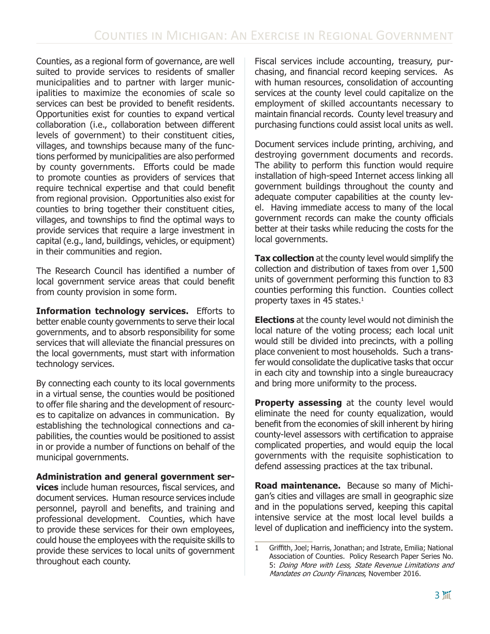Counties, as a regional form of governance, are well suited to provide services to residents of smaller municipalities and to partner with larger municipalities to maximize the economies of scale so services can best be provided to benefit residents. Opportunities exist for counties to expand vertical collaboration (i.e., collaboration between different levels of government) to their constituent cities, villages, and townships because many of the functions performed by municipalities are also performed by county governments. Efforts could be made to promote counties as providers of services that require technical expertise and that could benefit from regional provision. Opportunities also exist for counties to bring together their constituent cities, villages, and townships to find the optimal ways to provide services that require a large investment in capital (e.g., land, buildings, vehicles, or equipment) in their communities and region.

The Research Council has identified a number of local government service areas that could benefit from county provision in some form.

**Information technology services.** Efforts to better enable county governments to serve their local governments, and to absorb responsibility for some services that will alleviate the financial pressures on the local governments, must start with information technology services.

By connecting each county to its local governments in a virtual sense, the counties would be positioned to offer file sharing and the development of resources to capitalize on advances in communication. By establishing the technological connections and capabilities, the counties would be positioned to assist in or provide a number of functions on behalf of the municipal governments.

**Administration and general government services** include human resources, fiscal services, and document services. Human resource services include personnel, payroll and benefits, and training and professional development. Counties, which have to provide these services for their own employees, could house the employees with the requisite skills to provide these services to local units of government throughout each county.

Fiscal services include accounting, treasury, purchasing, and financial record keeping services. As with human resources, consolidation of accounting services at the county level could capitalize on the employment of skilled accountants necessary to maintain financial records. County level treasury and purchasing functions could assist local units as well.

Document services include printing, archiving, and destroying government documents and records. The ability to perform this function would require installation of high-speed Internet access linking all government buildings throughout the county and adequate computer capabilities at the county level. Having immediate access to many of the local government records can make the county officials better at their tasks while reducing the costs for the local governments.

**Tax collection** at the county level would simplify the collection and distribution of taxes from over 1,500 units of government performing this function to 83 counties performing this function. Counties collect property taxes in 45 states.<sup>1</sup>

**Elections** at the county level would not diminish the local nature of the voting process; each local unit would still be divided into precincts, with a polling place convenient to most households. Such a transfer would consolidate the duplicative tasks that occur in each city and township into a single bureaucracy and bring more uniformity to the process.

**Property assessing** at the county level would eliminate the need for county equalization, would benefit from the economies of skill inherent by hiring county-level assessors with certification to appraise complicated properties, and would equip the local governments with the requisite sophistication to defend assessing practices at the tax tribunal.

**Road maintenance.** Because so many of Michigan's cities and villages are small in geographic size and in the populations served, keeping this capital intensive service at the most local level builds a level of duplication and inefficiency into the system.

<sup>1</sup> Griffith, Joel; Harris, Jonathan; and Istrate, Emilia; National Association of Counties. Policy Research Paper Series No. 5: Doing More with Less, State Revenue Limitations and Mandates on County Finances, November 2016.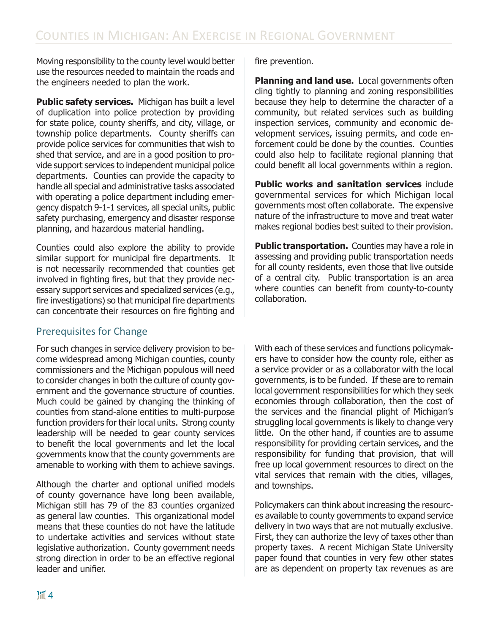Moving responsibility to the county level would better use the resources needed to maintain the roads and the engineers needed to plan the work.

**Public safety services.** Michigan has built a level of duplication into police protection by providing for state police, county sheriffs, and city, village, or township police departments. County sheriffs can provide police services for communities that wish to shed that service, and are in a good position to provide support services to independent municipal police departments. Counties can provide the capacity to handle all special and administrative tasks associated with operating a police department including emergency dispatch 9-1-1 services, all special units, public safety purchasing, emergency and disaster response planning, and hazardous material handling.

Counties could also explore the ability to provide similar support for municipal fire departments. It is not necessarily recommended that counties get involved in fighting fires, but that they provide necessary support services and specialized services (e.g., fire investigations) so that municipal fire departments can concentrate their resources on fire fighting and

## Prerequisites for Change

For such changes in service delivery provision to become widespread among Michigan counties, county commissioners and the Michigan populous will need to consider changes in both the culture of county government and the governance structure of counties. Much could be gained by changing the thinking of counties from stand-alone entities to multi-purpose function providers for their local units. Strong county leadership will be needed to gear county services to benefit the local governments and let the local governments know that the county governments are amenable to working with them to achieve savings.

Although the charter and optional unified models of county governance have long been available, Michigan still has 79 of the 83 counties organized as general law counties. This organizational model means that these counties do not have the latitude to undertake activities and services without state legislative authorization. County government needs strong direction in order to be an effective regional leader and unifier.

fire prevention.

**Planning and land use.** Local governments often cling tightly to planning and zoning responsibilities because they help to determine the character of a community, but related services such as building inspection services, community and economic development services, issuing permits, and code enforcement could be done by the counties. Counties could also help to facilitate regional planning that could benefit all local governments within a region.

**Public works and sanitation services** include governmental services for which Michigan local governments most often collaborate. The expensive nature of the infrastructure to move and treat water makes regional bodies best suited to their provision.

**Public transportation.** Counties may have a role in assessing and providing public transportation needs for all county residents, even those that live outside of a central city. Public transportation is an area where counties can benefit from county-to-county collaboration.

With each of these services and functions policymakers have to consider how the county role, either as a service provider or as a collaborator with the local governments, is to be funded. If these are to remain local government responsibilities for which they seek economies through collaboration, then the cost of the services and the financial plight of Michigan's struggling local governments is likely to change very little. On the other hand, if counties are to assume responsibility for providing certain services, and the responsibility for funding that provision, that will free up local government resources to direct on the vital services that remain with the cities, villages, and townships.

Policymakers can think about increasing the resources available to county governments to expand service delivery in two ways that are not mutually exclusive. First, they can authorize the levy of taxes other than property taxes. A recent Michigan State University paper found that counties in very few other states are as dependent on property tax revenues as are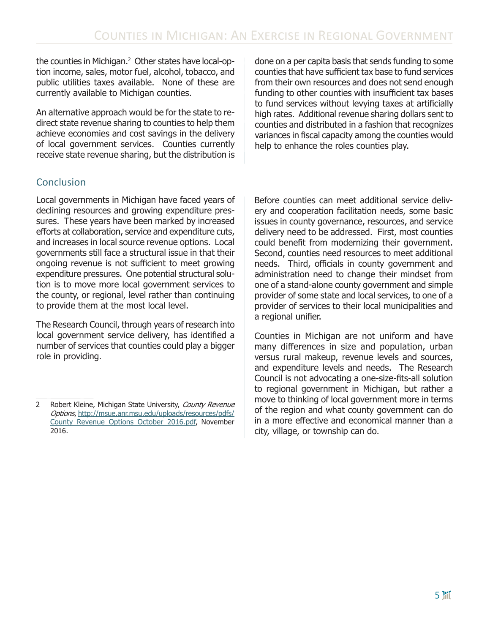the counties in Michigan.2 Other states have local-option income, sales, motor fuel, alcohol, tobacco, and public utilities taxes available. None of these are currently available to Michigan counties.

An alternative approach would be for the state to redirect state revenue sharing to counties to help them achieve economies and cost savings in the delivery of local government services. Counties currently receive state revenue sharing, but the distribution is

## Conclusion

Local governments in Michigan have faced years of declining resources and growing expenditure pressures. These years have been marked by increased efforts at collaboration, service and expenditure cuts, and increases in local source revenue options. Local governments still face a structural issue in that their ongoing revenue is not sufficient to meet growing expenditure pressures. One potential structural solution is to move more local government services to the county, or regional, level rather than continuing to provide them at the most local level.

The Research Council, through years of research into local government service delivery, has identified a number of services that counties could play a bigger role in providing.

done on a per capita basis that sends funding to some counties that have sufficient tax base to fund services from their own resources and does not send enough funding to other counties with insufficient tax bases to fund services without levying taxes at artificially high rates. Additional revenue sharing dollars sent to counties and distributed in a fashion that recognizes variances in fiscal capacity among the counties would help to enhance the roles counties play.

Before counties can meet additional service delivery and cooperation facilitation needs, some basic issues in county governance, resources, and service delivery need to be addressed. First, most counties could benefit from modernizing their government. Second, counties need resources to meet additional needs. Third, officials in county government and administration need to change their mindset from one of a stand-alone county government and simple provider of some state and local services, to one of a provider of services to their local municipalities and a regional unifier.

Counties in Michigan are not uniform and have many differences in size and population, urban versus rural makeup, revenue levels and sources, and expenditure levels and needs. The Research Council is not advocating a one-size-fits-all solution to regional government in Michigan, but rather a move to thinking of local government more in terms of the region and what county government can do in a more effective and economical manner than a city, village, or township can do.

<sup>2</sup> Robert Kleine, Michigan State University, County Revenue Options, http://msue.anr.msu.edu/uploads/resources/pdfs/ County\_Revenue\_Options\_October\_2016.pdf, November 2016.